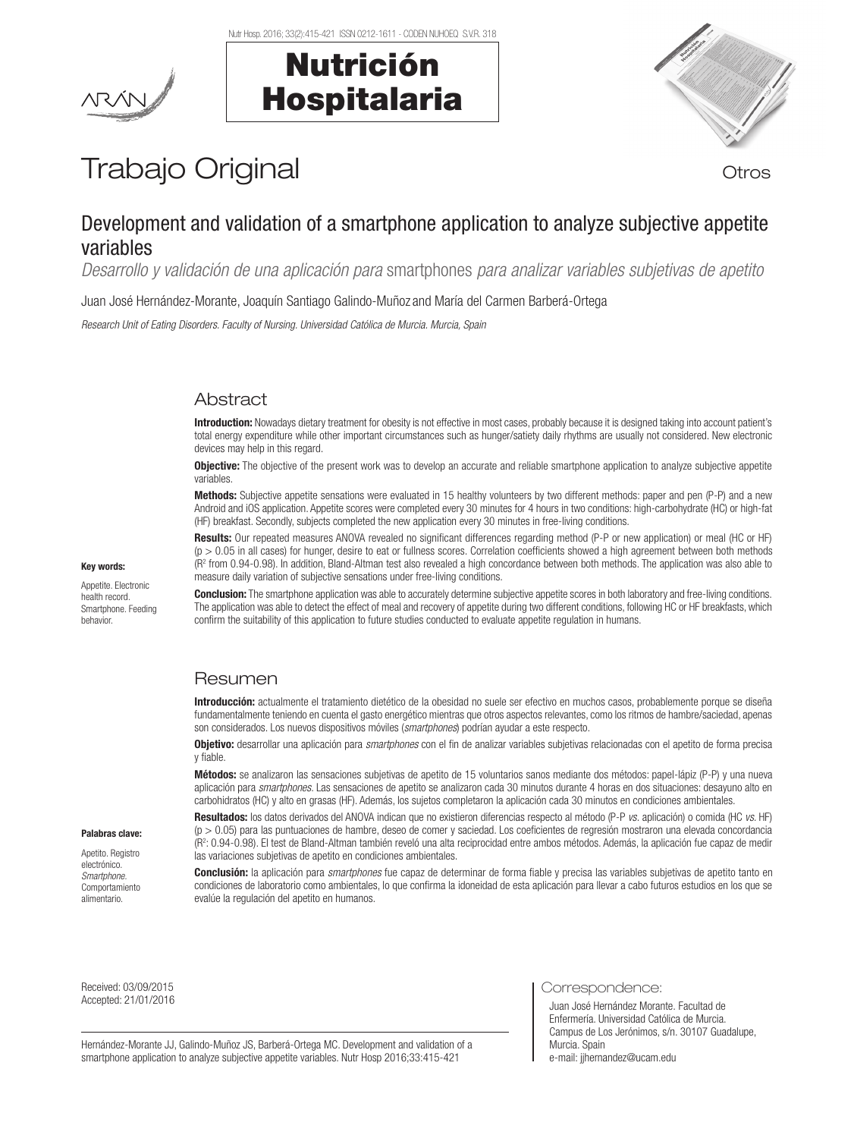





# Trabajo Original **Trabajo Original**

# Development and validation of a smartphone application to analyze subjective appetite variables

*Desarrollo y validación de una aplicación para* smartphones *para analizar variables subjetivas de apetito*

Juan José Hernández-Morante, Joaquín Santiago Galindo-Muñoz and María del Carmen Barberá-Ortega

*Research Unit of Eating Disorders. Faculty of Nursing. Universidad Católica de Murcia. Murcia, Spain*

# **Abstract**

Introduction: Nowadays dietary treatment for obesity is not effective in most cases, probably because it is designed taking into account patient's total energy expenditure while other important circumstances such as hunger/satiety daily rhythms are usually not considered. New electronic devices may help in this regard.

**Objective:** The objective of the present work was to develop an accurate and reliable smartphone application to analyze subjective appetite variables.

Methods: Subjective appetite sensations were evaluated in 15 healthy volunteers by two different methods: paper and pen (P-P) and a new Android and iOS application. Appetite scores were completed every 30 minutes for 4 hours in two conditions: high-carbohydrate (HC) or high-fat (HF) breakfast. Secondly, subjects completed the new application every 30 minutes in free-living conditions.

Results: Our repeated measures ANOVA revealed no significant differences regarding method (P-P or new application) or meal (HC or HF)  $(p > 0.05$  in all cases) for hunger, desire to eat or fullness scores. Correlation coefficients showed a high agreement between both methods (R<sup>2</sup> from 0.94-0.98). In addition, Bland-Altman test also revealed a high concordance between both methods. The application was also able to measure daily variation of subjective sensations under free-living conditions.

Conclusion: The smartphone application was able to accurately determine subjective appetite scores in both laboratory and free-living conditions. The application was able to detect the effect of meal and recovery of appetite during two different conditions, following HC or HF breakfasts, which confirm the suitability of this application to future studies conducted to evaluate appetite regulation in humans.

# Resumen

Introducción: actualmente el tratamiento dietético de la obesidad no suele ser efectivo en muchos casos, probablemente porque se diseña fundamentalmente teniendo en cuenta el gasto energético mientras que otros aspectos relevantes, como los ritmos de hambre/saciedad, apenas son considerados. Los nuevos dispositivos móviles (*smartphones*) podrían ayudar a este respecto.

Objetivo: desarrollar una aplicación para *smartphones* con el fin de analizar variables subjetivas relacionadas con el apetito de forma precisa y fiable.

Métodos: se analizaron las sensaciones subjetivas de apetito de 15 voluntarios sanos mediante dos métodos: papel-lápiz (P-P) y una nueva aplicación para *smartphones*. Las sensaciones de apetito se analizaron cada 30 minutos durante 4 horas en dos situaciones: desayuno alto en carbohidratos (HC) y alto en grasas (HF). Además, los sujetos completaron la aplicación cada 30 minutos en condiciones ambientales.

Resultados: los datos derivados del ANOVA indican que no existieron diferencias respecto al método (P-P *vs.* aplicación) o comida (HC *vs.* HF) (p > 0.05) para las puntuaciones de hambre, deseo de comer y saciedad. Los coeficientes de regresión mostraron una elevada concordancia (R2 : 0.94-0.98). El test de Bland-Altman también reveló una alta reciprocidad entre ambos métodos. Además, la aplicación fue capaz de medir las variaciones subjetivas de apetito en condiciones ambientales.

Conclusión: la aplicación para *smartphones* fue capaz de determinar de forma fiable y precisa las variables subjetivas de apetito tanto en condiciones de laboratorio como ambientales, lo que confirma la idoneidad de esta aplicación para llevar a cabo futuros estudios en los que se evalúe la regulación del apetito en humanos.

Received: 03/09/2015 Received: 03/09/2015<br>Accepted: 21/01/2016 Correspondence: National Correspondence: National Correspondence: National Correspondence

Palabras clave: Apetito. Registro electrónico. *Smartphone.*  Comportamiento alimentario.

Hernández-Morante JJ, Galindo-Muñoz JS, Barberá-Ortega MC. Development and validation of a smartphone application to analyze subjective appetite variables. Nutr Hosp 2016;33:415-421

Juan José Hernández Morante. Facultad de Enfermería. Universidad Católica de Murcia. Campus de Los Jerónimos, s/n. 30107 Guadalupe, Murcia. Spain e-mail: jjhernandez@ucam.edu

# Key words:

Appetite. Electronic health record. Smartphone. Feeding behavior.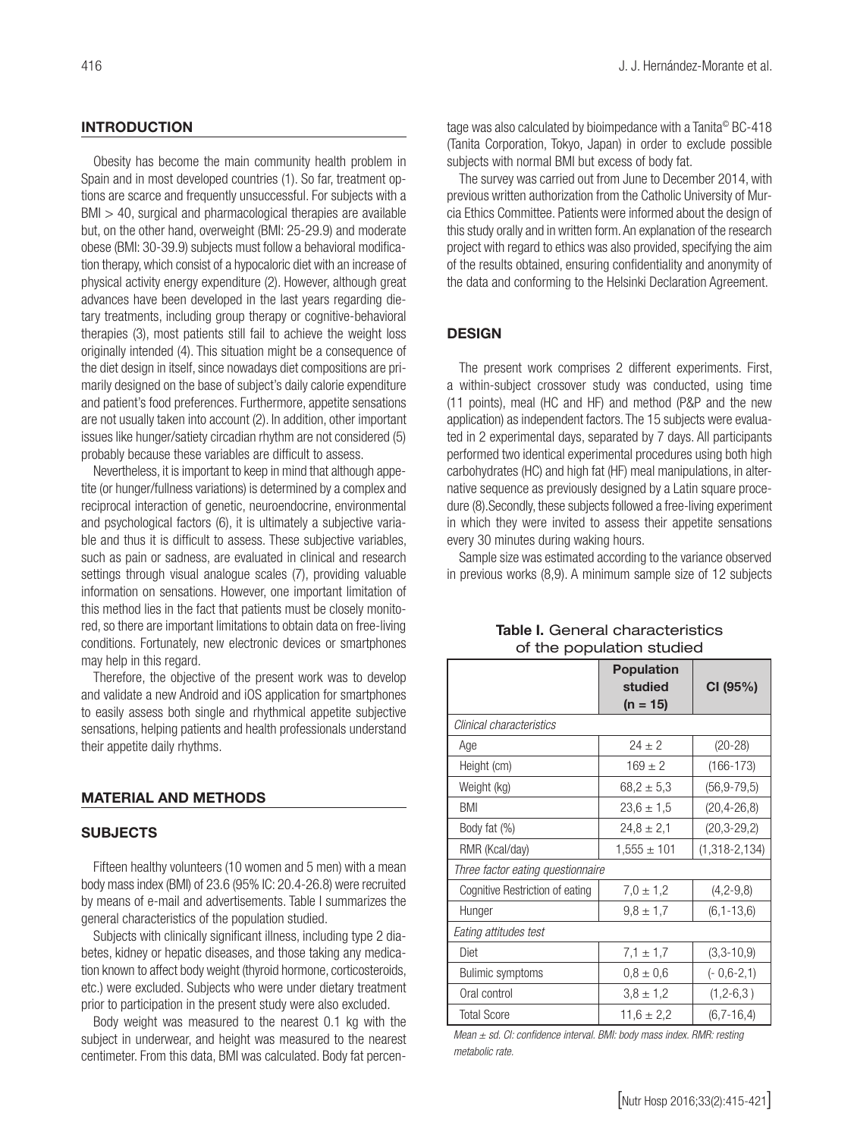# **INTRODUCTION**

Obesity has become the main community health problem in Spain and in most developed countries (1). So far, treatment options are scarce and frequently unsuccessful. For subjects with a BMI > 40, surgical and pharmacological therapies are available but, on the other hand, overweight (BMI: 25-29.9) and moderate obese (BMI: 30-39.9) subjects must follow a behavioral modification therapy, which consist of a hypocaloric diet with an increase of physical activity energy expenditure (2). However, although great advances have been developed in the last years regarding dietary treatments, including group therapy or cognitive-behavioral therapies (3), most patients still fail to achieve the weight loss originally intended (4). This situation might be a consequence of the diet design in itself, since nowadays diet compositions are primarily designed on the base of subject's daily calorie expenditure and patient's food preferences. Furthermore, appetite sensations are not usually taken into account (2). In addition, other important issues like hunger/satiety circadian rhythm are not considered (5) probably because these variables are difficult to assess.

Nevertheless, it is important to keep in mind that although appetite (or hunger/fullness variations) is determined by a complex and reciprocal interaction of genetic, neuroendocrine, environmental and psychological factors (6), it is ultimately a subjective variable and thus it is difficult to assess. These subjective variables, such as pain or sadness, are evaluated in clinical and research settings through visual analogue scales (7), providing valuable information on sensations. However, one important limitation of this method lies in the fact that patients must be closely monitored, so there are important limitations to obtain data on free-living conditions. Fortunately, new electronic devices or smartphones may help in this regard.

Therefore, the objective of the present work was to develop and validate a new Android and iOS application for smartphones to easily assess both single and rhythmical appetite subjective sensations, helping patients and health professionals understand their appetite daily rhythms.

# MATERIAL AND METHODS

# **SUBJECTS**

Fifteen healthy volunteers (10 women and 5 men) with a mean body mass index (BMI) of 23.6 (95% IC: 20.4-26.8) were recruited by means of e-mail and advertisements. Table I summarizes the general characteristics of the population studied.

Subjects with clinically significant illness, including type 2 diabetes, kidney or hepatic diseases, and those taking any medication known to affect body weight (thyroid hormone, corticosteroids, etc.) were excluded. Subjects who were under dietary treatment prior to participation in the present study were also excluded.

Body weight was measured to the nearest 0.1 kg with the subject in underwear, and height was measured to the nearest centimeter. From this data, BMI was calculated. Body fat percentage was also calculated by bioimpedance with a Tanita<sup>®</sup> BC-418 (Tanita Corporation, Tokyo, Japan) in order to exclude possible subjects with normal BMI but excess of body fat.

The survey was carried out from June to December 2014, with previous written authorization from the Catholic University of Murcia Ethics Committee. Patients were informed about the design of this study orally and in written form. An explanation of the research project with regard to ethics was also provided, specifying the aim of the results obtained, ensuring confidentiality and anonymity of the data and conforming to the Helsinki Declaration Agreement.

## **DESIGN**

The present work comprises 2 different experiments. First, a within-subject crossover study was conducted, using time (11 points), meal (HC and HF) and method (P&P and the new application) as independent factors. The 15 subjects were evaluated in 2 experimental days, separated by 7 days. All participants performed two identical experimental procedures using both high carbohydrates (HC) and high fat (HF) meal manipulations, in alternative sequence as previously designed by a Latin square procedure (8).Secondly, these subjects followed a free-living experiment in which they were invited to assess their appetite sensations every 30 minutes during waking hours.

Sample size was estimated according to the variance observed in previous works (8,9). A minimum sample size of 12 subjects

|                                   | <b>Population</b><br>studied<br>$(n = 15)$ | CI (95%)          |  |  |  |
|-----------------------------------|--------------------------------------------|-------------------|--|--|--|
| Clinical characteristics          |                                            |                   |  |  |  |
| Age                               | $24 + 2$<br>$(20-28)$                      |                   |  |  |  |
| Height (cm)                       | $169 + 2$                                  | $(166-173)$       |  |  |  |
| Weight (kg)                       | $68.2 \pm 5.3$                             | $(56, 9 - 79, 5)$ |  |  |  |
| BMI                               | $23,6 \pm 1,5$                             | $(20, 4 - 26, 8)$ |  |  |  |
| Body fat (%)                      | $24.8 \pm 2.1$                             | $(20, 3 - 29, 2)$ |  |  |  |
| RMR (Kcal/day)                    | $1,555 \pm 101$                            | $(1,318-2,134)$   |  |  |  |
| Three factor eating questionnaire |                                            |                   |  |  |  |
| Cognitive Restriction of eating   | $7,0 \pm 1,2$                              | $(4, 2-9, 8)$     |  |  |  |
| Hunger                            | $9,8 \pm 1,7$<br>$(6, 1 - 13, 6)$          |                   |  |  |  |
| Eating attitudes test             |                                            |                   |  |  |  |
| Diet                              | $7,1 \pm 1,7$                              | $(3,3-10,9)$      |  |  |  |
| <b>Bulimic symptoms</b>           | $(-0,6-2,1)$<br>$0.8 \pm 0.6$              |                   |  |  |  |
| Oral control                      | $3,8 \pm 1,2$<br>$(1, 2 - 6, 3)$           |                   |  |  |  |
| <b>Total Score</b>                | $11.6 \pm 2.2$<br>$(6, 7 - 16, 4)$         |                   |  |  |  |

Table I. General characteristics of the population studied

*Mean ± sd. CI: confidence interval. BMI: body mass index. RMR: resting metabolic rate.*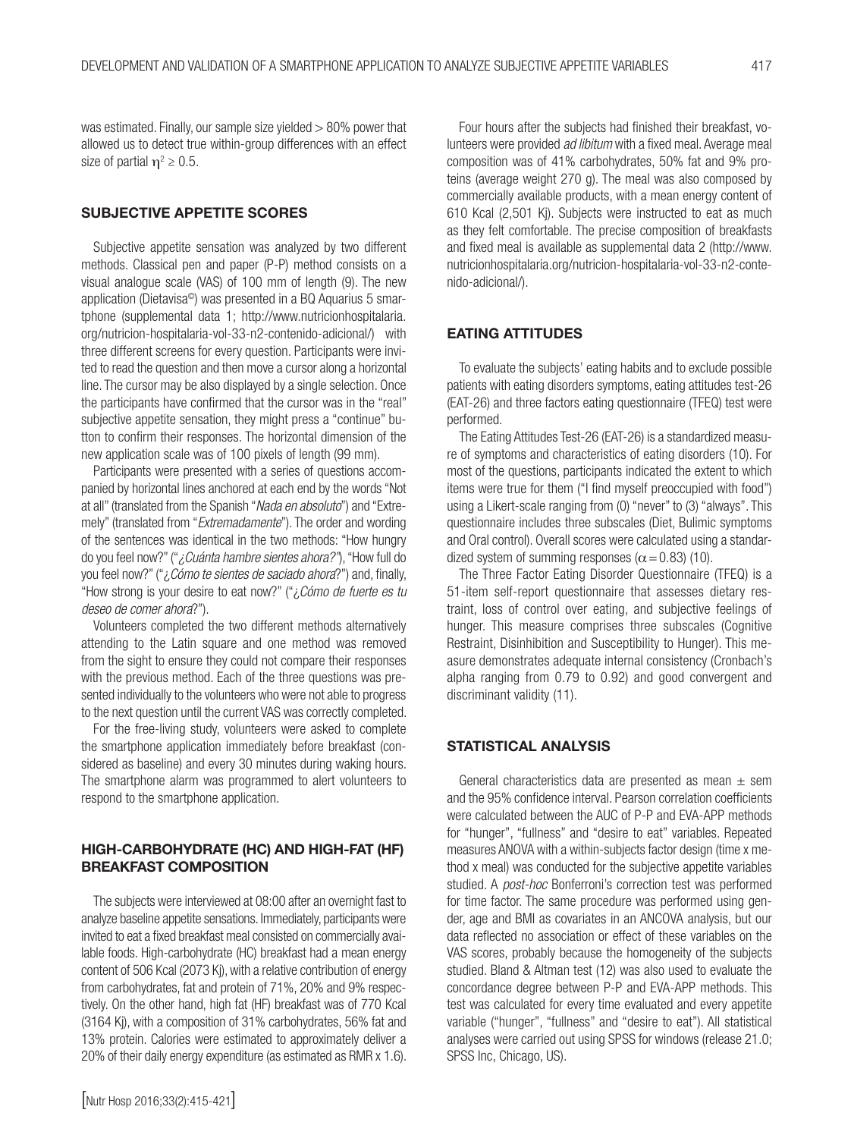was estimated. Finally, our sample size yielded > 80% power that allowed us to detect true within-group differences with an effect size of partial  $\eta^2 \geq 0.5$ .

# SUBJECTIVE APPETITE SCORES

Subjective appetite sensation was analyzed by two different methods. Classical pen and paper (P-P) method consists on a visual analogue scale (VAS) of 100 mm of length (9). The new application (Dietavisa©) was presented in a BQ Aquarius 5 smartphone (supplemental data 1; http://www.nutricionhospitalaria. org/nutricion-hospitalaria-vol-33-n2-contenido-adicional/) with three different screens for every question. Participants were invited to read the question and then move a cursor along a horizontal line. The cursor may be also displayed by a single selection. Once the participants have confirmed that the cursor was in the "real" subjective appetite sensation, they might press a "continue" button to confirm their responses. The horizontal dimension of the new application scale was of 100 pixels of length (99 mm).

Participants were presented with a series of questions accompanied by horizontal lines anchored at each end by the words "Not at all" (translated from the Spanish "*Nada en absoluto*") and "Extremely" (translated from "*Extremadamente*"). The order and wording of the sentences was identical in the two methods: "How hungry do you feel now?" ("*¿Cuánta hambre sientes ahora?"*), "How full do you feel now?" ("¿*Cómo te sientes de saciado ahora*?") and, finally, "How strong is your desire to eat now?" ("¿*Cómo de fuerte es tu deseo de comer ahora*?").

Volunteers completed the two different methods alternatively attending to the Latin square and one method was removed from the sight to ensure they could not compare their responses with the previous method. Each of the three questions was presented individually to the volunteers who were not able to progress to the next question until the current VAS was correctly completed.

For the free-living study, volunteers were asked to complete the smartphone application immediately before breakfast (considered as baseline) and every 30 minutes during waking hours. The smartphone alarm was programmed to alert volunteers to respond to the smartphone application.

# HIGH-CARBOHYDRATE (HC) AND HIGH-FAT (HF) BREAKFAST COMPOSITION

The subjects were interviewed at 08:00 after an overnight fast to analyze baseline appetite sensations. Immediately, participants were invited to eat a fixed breakfast meal consisted on commercially available foods. High-carbohydrate (HC) breakfast had a mean energy content of 506 Kcal (2073 Kj), with a relative contribution of energy from carbohydrates, fat and protein of 71%, 20% and 9% respectively. On the other hand, high fat (HF) breakfast was of 770 Kcal (3164 Kj), with a composition of 31% carbohydrates, 56% fat and 13% protein. Calories were estimated to approximately deliver a 20% of their daily energy expenditure (as estimated as RMR x 1.6).

Four hours after the subjects had finished their breakfast, volunteers were provided *ad libitum* with a fixed meal. Average meal composition was of 41% carbohydrates, 50% fat and 9% proteins (average weight 270 g). The meal was also composed by commercially available products, with a mean energy content of 610 Kcal (2,501 Kj). Subjects were instructed to eat as much as they felt comfortable. The precise composition of breakfasts and fixed meal is available as supplemental data 2 (http://www. nutricionhospitalaria.org/nutricion-hospitalaria-vol-33-n2-contenido-adicional/).

# EATING ATTITUDES

To evaluate the subjects' eating habits and to exclude possible patients with eating disorders symptoms, eating attitudes test-26 (EAT-26) and three factors eating questionnaire (TFEQ) test were performed.

The Eating Attitudes Test-26 (EAT-26) is a standardized measure of symptoms and characteristics of eating disorders (10). For most of the questions, participants indicated the extent to which items were true for them ("I find myself preoccupied with food") using a Likert-scale ranging from (0) "never" to (3) "always". This questionnaire includes three subscales (Diet, Bulimic symptoms and Oral control). Overall scores were calculated using a standardized system of summing responses ( $\alpha$  = 0.83) (10).

The Three Factor Eating Disorder Questionnaire (TFEQ) is a 51-item self-report questionnaire that assesses dietary restraint, loss of control over eating, and subjective feelings of hunger. This measure comprises three subscales (Cognitive Restraint, Disinhibition and Susceptibility to Hunger). This measure demonstrates adequate internal consistency (Cronbach's alpha ranging from 0.79 to 0.92) and good convergent and discriminant validity (11).

#### STATISTICAL ANALYSIS

General characteristics data are presented as mean  $\pm$  sem and the 95% confidence interval. Pearson correlation coefficients were calculated between the AUC of P-P and EVA-APP methods for "hunger", "fullness" and "desire to eat" variables. Repeated measures ANOVA with a within-subjects factor design (time x method x meal) was conducted for the subjective appetite variables studied. A *post-hoc* Bonferroni's correction test was performed for time factor. The same procedure was performed using gender, age and BMI as covariates in an ANCOVA analysis, but our data reflected no association or effect of these variables on the VAS scores, probably because the homogeneity of the subjects studied. Bland & Altman test (12) was also used to evaluate the concordance degree between P-P and EVA-APP methods. This test was calculated for every time evaluated and every appetite variable ("hunger", "fullness" and "desire to eat"). All statistical analyses were carried out using SPSS for windows (release 21.0; SPSS Inc, Chicago, US).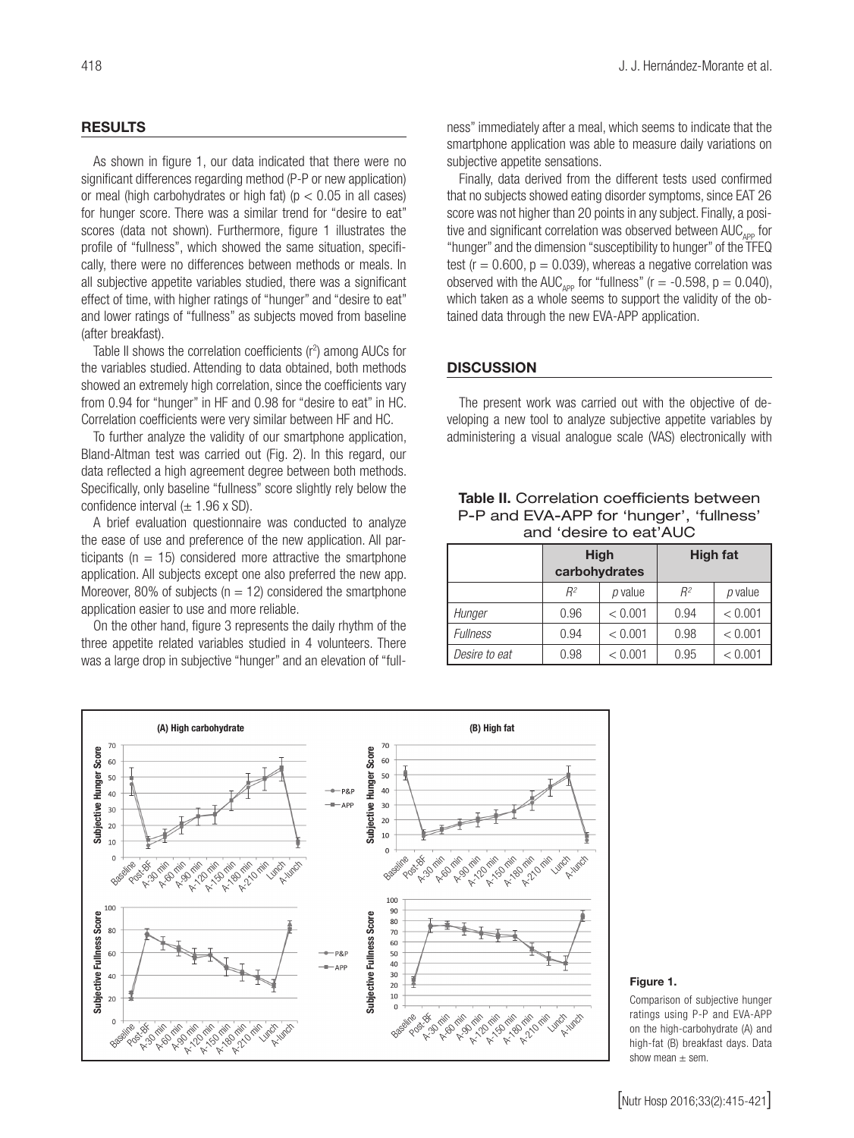# RESULTS

As shown in figure 1, our data indicated that there were no significant differences regarding method (P-P or new application) or meal (high carbohydrates or high fat) ( $p < 0.05$  in all cases) for hunger score. There was a similar trend for "desire to eat" scores (data not shown). Furthermore, figure 1 illustrates the profile of "fullness", which showed the same situation, specifically, there were no differences between methods or meals. In all subjective appetite variables studied, there was a significant effect of time, with higher ratings of "hunger" and "desire to eat" and lower ratings of "fullness" as subjects moved from baseline (after breakfast).

Table II shows the correlation coefficients  $(r^2)$  among AUCs for the variables studied. Attending to data obtained, both methods showed an extremely high correlation, since the coefficients vary from 0.94 for "hunger" in HF and 0.98 for "desire to eat" in HC. Correlation coefficients were very similar between HF and HC.

To further analyze the validity of our smartphone application, Bland-Altman test was carried out (Fig. 2). In this regard, our data reflected a high agreement degree between both methods. Specifically, only baseline "fullness" score slightly rely below the confidence interval  $(\pm 1.96 \times SD)$ .

A brief evaluation questionnaire was conducted to analyze the ease of use and preference of the new application. All participants ( $n = 15$ ) considered more attractive the smartphone application. All subjects except one also preferred the new app. Moreover, 80% of subjects ( $n = 12$ ) considered the smartphone application easier to use and more reliable.

On the other hand, figure 3 represents the daily rhythm of the three appetite related variables studied in 4 volunteers. There was a large drop in subjective "hunger" and an elevation of "fullness" immediately after a meal, which seems to indicate that the smartphone application was able to measure daily variations on subjective appetite sensations.

Finally, data derived from the different tests used confirmed that no subjects showed eating disorder symptoms, since EAT 26 score was not higher than 20 points in any subject. Finally, a positive and significant correlation was observed between  $AUC_{\text{app}}$  for "hunger" and the dimension "susceptibility to hunger" of the TFEQ test ( $r = 0.600$ ,  $p = 0.039$ ), whereas a negative correlation was observed with the AUC<sub>APP</sub> for "fullness" ( $r = -0.598$ ,  $p = 0.040$ ), which taken as a whole seems to support the validity of the obtained data through the new EVA-APP application.

#### **DISCUSSION**

The present work was carried out with the objective of developing a new tool to analyze subjective appetite variables by administering a visual analogue scale (VAS) electronically with

# Table II. Correlation coefficients between P-P and EVA-APP for 'hunger', 'fullness' and 'desire to eat'AUC

|                 | <b>High</b><br>carbohydrates |         | High fat |         |
|-----------------|------------------------------|---------|----------|---------|
|                 | $R^2$                        | p value | $R^2$    | p value |
| Hunger          | 0.96                         | < 0.001 | 0.94     | < 0.001 |
| <b>Fullness</b> | 0.94                         | < 0.001 | 0.98     | < 0.001 |
| Desire to eat   | 0.98                         | < 0.001 | 0.95     | < 0.001 |



#### Figure 1.

Comparison of subjective hunger ratings using P-P and EVA-APP on the high-carbohydrate (A) and high-fat (B) breakfast days. Data show mean  $\pm$  sem.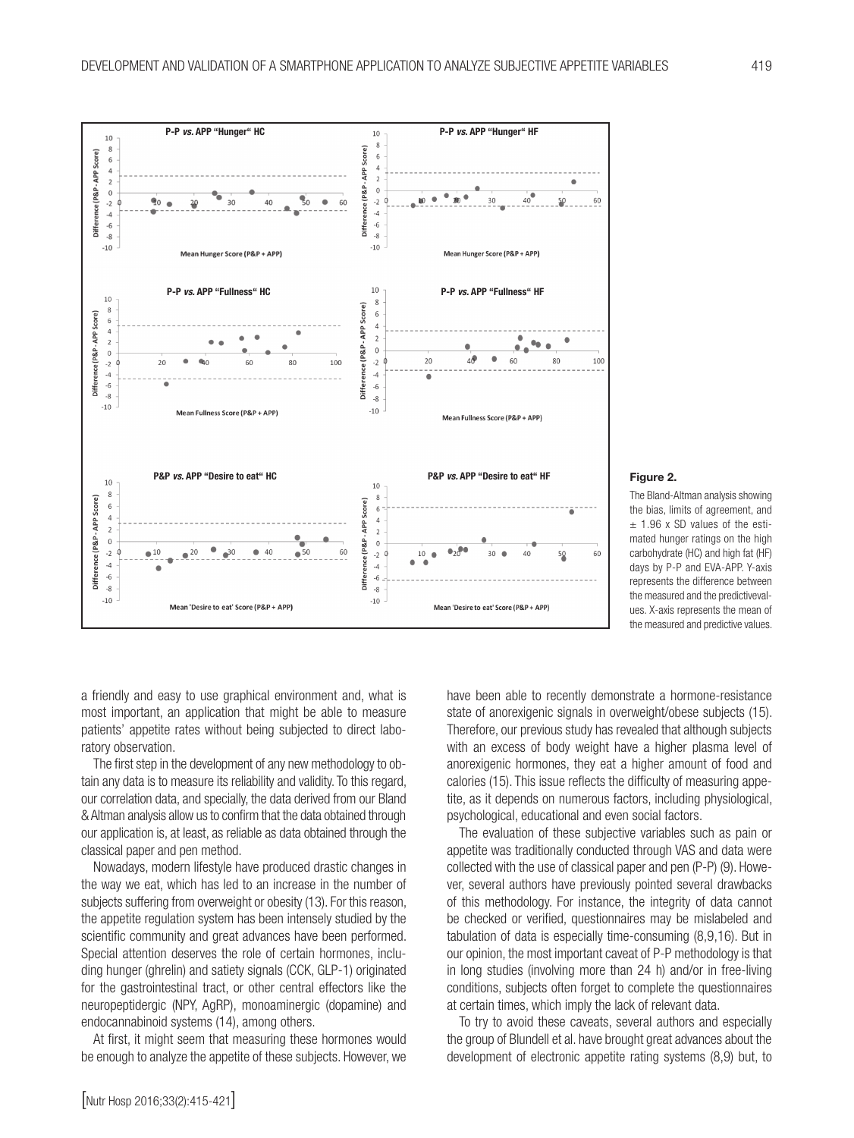

#### Figure 2.

The Bland-Altman analysis showing the bias, limits of agreement, and  $±$  1.96 x SD values of the estimated hunger ratings on the high carbohydrate (HC) and high fat (HF) days by P-P and EVA-APP. Y-axis represents the difference between the measured and the predictivevalues. X-axis represents the mean of the measured and predictive values.

a friendly and easy to use graphical environment and, what is most important, an application that might be able to measure patients' appetite rates without being subjected to direct laboratory observation.

The first step in the development of any new methodology to obtain any data is to measure its reliability and validity. To this regard, our correlation data, and specially, the data derived from our Bland & Altman analysis allow us to confirm that the data obtained through our application is, at least, as reliable as data obtained through the classical paper and pen method.

Nowadays, modern lifestyle have produced drastic changes in the way we eat, which has led to an increase in the number of subjects suffering from overweight or obesity (13). For this reason, the appetite regulation system has been intensely studied by the scientific community and great advances have been performed. Special attention deserves the role of certain hormones, including hunger (ghrelin) and satiety signals (CCK, GLP-1) originated for the gastrointestinal tract, or other central effectors like the neuropeptidergic (NPY, AgRP), monoaminergic (dopamine) and endocannabinoid systems (14), among others.

At first, it might seem that measuring these hormones would be enough to analyze the appetite of these subjects. However, we have been able to recently demonstrate a hormone-resistance state of anorexigenic signals in overweight/obese subjects (15). Therefore, our previous study has revealed that although subjects with an excess of body weight have a higher plasma level of anorexigenic hormones, they eat a higher amount of food and calories (15). This issue reflects the difficulty of measuring appetite, as it depends on numerous factors, including physiological, psychological, educational and even social factors.

The evaluation of these subjective variables such as pain or appetite was traditionally conducted through VAS and data were collected with the use of classical paper and pen (P-P) (9). However, several authors have previously pointed several drawbacks of this methodology. For instance, the integrity of data cannot be checked or verified, questionnaires may be mislabeled and tabulation of data is especially time-consuming (8,9,16). But in our opinion, the most important caveat of P-P methodology is that in long studies (involving more than 24 h) and/or in free-living conditions, subjects often forget to complete the questionnaires at certain times, which imply the lack of relevant data.

To try to avoid these caveats, several authors and especially the group of Blundell et al. have brought great advances about the development of electronic appetite rating systems (8,9) but, to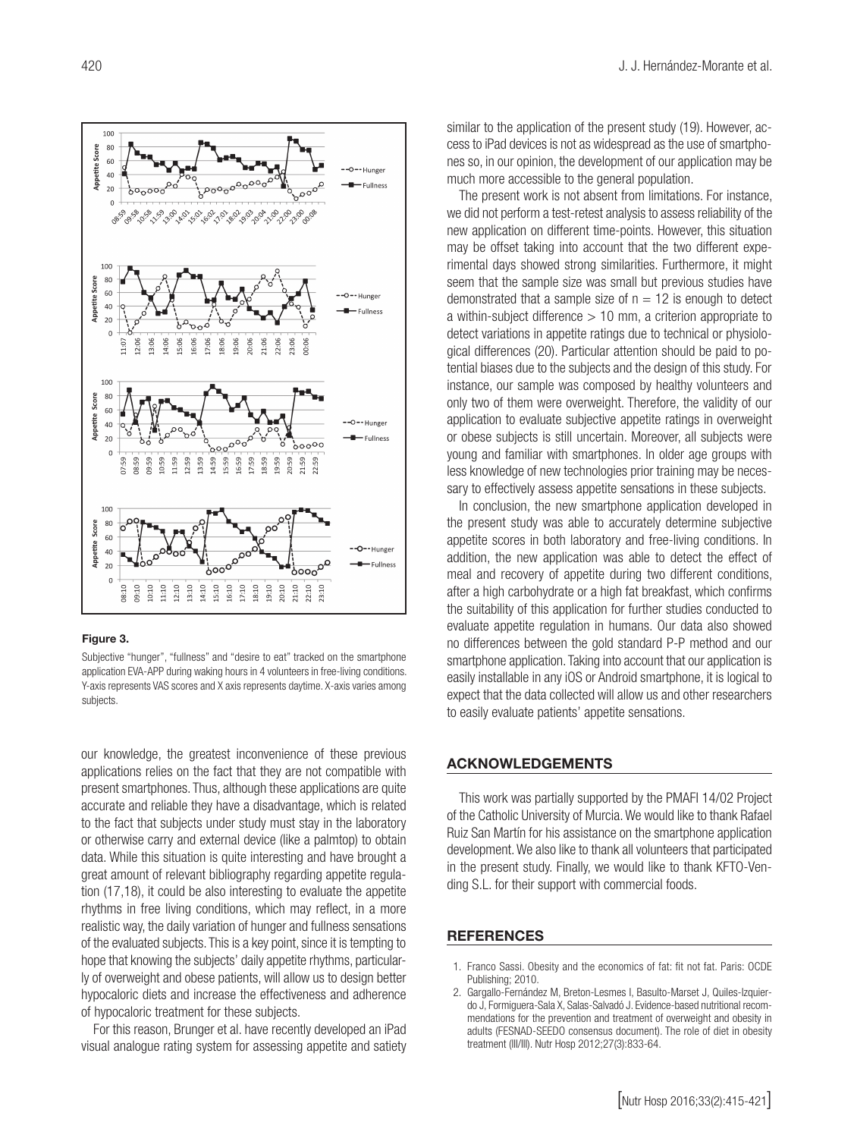

#### Figure 3.

Subjective "hunger", "fullness" and "desire to eat" tracked on the smartphone application EVA-APP during waking hours in 4 volunteers in free-living conditions. Y-axis represents VAS scores and X axis represents daytime. X-axis varies among subjects.

our knowledge, the greatest inconvenience of these previous applications relies on the fact that they are not compatible with present smartphones. Thus, although these applications are quite accurate and reliable they have a disadvantage, which is related to the fact that subjects under study must stay in the laboratory or otherwise carry and external device (like a palmtop) to obtain data. While this situation is quite interesting and have brought a great amount of relevant bibliography regarding appetite regulation (17,18), it could be also interesting to evaluate the appetite rhythms in free living conditions, which may reflect, in a more realistic way, the daily variation of hunger and fullness sensations of the evaluated subjects. This is a key point, since it is tempting to hope that knowing the subjects' daily appetite rhythms, particularly of overweight and obese patients, will allow us to design better hypocaloric diets and increase the effectiveness and adherence of hypocaloric treatment for these subjects.

For this reason, Brunger et al. have recently developed an iPad visual analogue rating system for assessing appetite and satiety similar to the application of the present study (19). However, access to iPad devices is not as widespread as the use of smartphones so, in our opinion, the development of our application may be much more accessible to the general population.

The present work is not absent from limitations. For instance, we did not perform a test-retest analysis to assess reliability of the new application on different time-points. However, this situation may be offset taking into account that the two different experimental days showed strong similarities. Furthermore, it might seem that the sample size was small but previous studies have demonstrated that a sample size of  $n = 12$  is enough to detect a within-subject difference  $> 10$  mm, a criterion appropriate to detect variations in appetite ratings due to technical or physiological differences (20). Particular attention should be paid to potential biases due to the subjects and the design of this study. For instance, our sample was composed by healthy volunteers and only two of them were overweight. Therefore, the validity of our application to evaluate subjective appetite ratings in overweight or obese subjects is still uncertain. Moreover, all subjects were young and familiar with smartphones. In older age groups with less knowledge of new technologies prior training may be necessary to effectively assess appetite sensations in these subjects.

In conclusion, the new smartphone application developed in the present study was able to accurately determine subjective appetite scores in both laboratory and free-living conditions. In addition, the new application was able to detect the effect of meal and recovery of appetite during two different conditions, after a high carbohydrate or a high fat breakfast, which confirms the suitability of this application for further studies conducted to evaluate appetite regulation in humans. Our data also showed no differences between the gold standard P-P method and our smartphone application. Taking into account that our application is easily installable in any iOS or Android smartphone, it is logical to expect that the data collected will allow us and other researchers to easily evaluate patients' appetite sensations.

## ACKNOWLEDGEMENTS

This work was partially supported by the PMAFI 14/02 Project of the Catholic University of Murcia. We would like to thank Rafael Ruiz San Martín for his assistance on the smartphone application development. We also like to thank all volunteers that participated in the present study. Finally, we would like to thank KFTO-Vending S.L. for their support with commercial foods.

## **REFERENCES**

- 1. Franco Sassi. Obesity and the economics of fat: fit not fat. Paris: OCDE Publishing; 2010.
- 2. Gargallo-Fernández M, Breton-Lesmes I, Basulto-Marset J, Quiles-Izquierdo J, Formiguera-Sala X, Salas-Salvadó J. Evidence-based nutritional recommendations for the prevention and treatment of overweight and obesity in adults (FESNAD-SEEDO consensus document). The role of diet in obesity treatment (III/III). Nutr Hosp 2012;27(3):833-64.